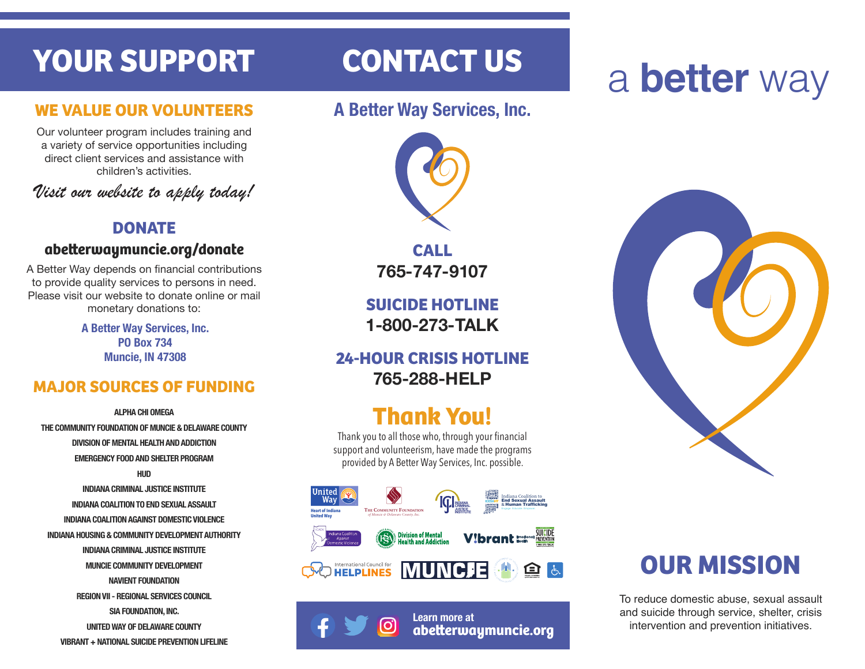# **YOUR SUPPORT**

#### **WE VALUE OUR VOLUNTEERS**

Our volunteer program includes training and a variety of service opportunities including direct client services and assistance with children's activities.

*Visit our website to apply today!*

#### **DONATE**

#### **abeerwaymuncie.org/donate**

A Better Way depends on financial contributions to provide quality services to persons in need. Please visit our website to donate online or mail monetary donations to:

> **A Better Way Services, Inc. PO Box 734 Muncie, IN 47308**

### **MAJOR SOURCES OF FUNDING**

**ALPHA CHI OMEGA THE COMMUNITY FOUNDATION OF MUNCIE & DELAWARE COUNTY DIVISION OF MENTAL HEALTH AND ADDICTION EMERGENCY FOOD AND SHELTER PROGRAM HUD INDIANA CRIMINAL JUSTICE INSTITUTE INDIANA COALITION TO END SEXUAL ASSAULT INDIANA COALITION AGAINST DOMESTIC VIOLENCE INDIANA HOUSING & COMMUNITY DEVELOPMENT AUTHORITY INDIANA CRIMINAL JUSTICE INSTITUTE MUNCIE COMMUNITY DEVELOPMENT NAVIENT FOUNDATION REGION VII - REGIONAL SERVICES COUNCIL SIA FOUNDATION, INC. UNITED WAY OF DELAWARE COUNTY VIBRANT + NATIONAL SUICIDE PREVENTION LIFELINE**

# **CONTACT US**

### **A Better Way Services, Inc.**



**CALL 765-747-9107**

**SUICIDE HOTLINE 1-800-273-TALK**

#### **24-HOUR CRISIS HOTLINE 765-288-HELP**

# **Thank You!**

Thank you to all those who, through your financial support and volunteerism, have made the programs provided by A Better Way Services, Inc. possible.



# a **better** way



# **OUR MISSION**

To reduce domestic abuse, sexual assault and suicide through service, shelter, crisis intervention and prevention initiatives.



**Learn more at abeerwaymuncie.org**